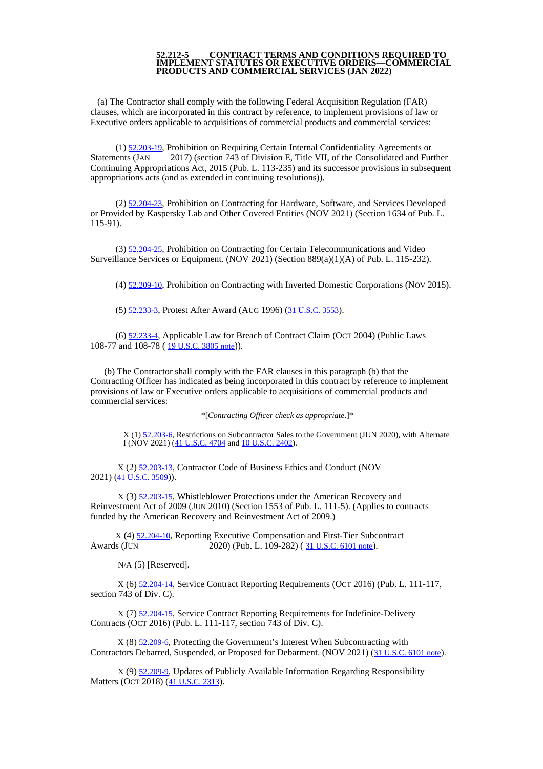## **52.212-5 CONTRACT TERMS AND CONDITIONS REQUIRED TO IMPLEMENT STATUTES OR EXECUTIVE ORDERS—COMMERCIAL PRODUCTS AND COMMERCIAL SERVICES (JAN 2022)**

(a) The Contractor shall comply with the following Federal Acquisition Regulation (FAR) clauses, which are incorporated in this contract by reference, to implement provisions of law or Executive orders applicable to acquisitions of commercial products and commercial services:

(1) [52.203-19](https://www.acquisition.gov/far/52.203-19#FAR_52_203_19), Prohibition on Requiring Certain Internal Confidentiality Agreements or Statements (JAN 2017) (section 743 of Division E, Title VII, of the Consolidated and Further Continuing Appropriations Act, 2015 (Pub. L. 113-235) and its successor provisions in subsequent appropriations acts (and as extended in continuing resolutions)).

(2) [52.204-23](https://www.acquisition.gov/far/52.204-23#FAR_52_204_23), Prohibition on Contracting for Hardware, Software, and Services Developed or Provided by Kaspersky Lab and Other Covered Entities (NOV 2021) (Section 1634 of Pub. L. 115-91).

(3) [52.204-25](https://www.acquisition.gov/far/52.204-25#FAR_52_204_25), Prohibition on Contracting for Certain Telecommunications and Video Surveillance Services or Equipment. (NOV 2021) (Section 889(a)(1)(A) of Pub. L. 115-232).

(4) [52.209-10](https://www.acquisition.gov/far/52.209-10#FAR_52_209_10), Prohibition on Contracting with Inverted Domestic Corporations (NOV 2015).

(5) [52.233-3](https://www.acquisition.gov/far/52.233-3#FAR_52_233_3), Protest After Award (AUG 1996) (31 [U.S.C.](http://uscode.house.gov/browse.xhtml%3Bjsessionid%3D114A3287C7B3359E597506A31FC855B3) 3553).

(6) [52.233-4](https://www.acquisition.gov/far/52.233-4#FAR_52_233_4), Applicable Law for Breach of Contract Claim (OCT 2004) (Public Laws 108-77 and 108-78 (19 [U.S.C.](http://uscode.house.gov/browse.xhtml%3Bjsessionid%3D114A3287C7B3359E597506A31FC855B3) 3805 note)).

(b) The Contractor shall comply with the FAR clauses in this paragraph (b) that the Contracting Officer has indicated as being incorporated in this contract by reference to implement provisions of law or Executive orders applicable to acquisitions of commercial products and commercial services:

\*[*Contracting Officer check as appropriate*.]\*

X (1) [52.203-6,](https://www.acquisition.gov/content/52203-6-restrictions-subcontractor-sales-government#i1063319) Restrictions on Subcontractor Sales to the Government (JUN 2020), with Alternate I (NOV 2021)  $(41$  [U.S.C.](http://uscode.house.gov/browse.xhtml%3Bjsessionid%3D114A3287C7B3359E597506A31FC855B3) 4704 and 10 U.S.C. 2402).

X (2) [52.203-13](https://www.acquisition.gov/far/52.203-13#FAR_52_203_13), Contractor Code of Business Ethics and Conduct (NOV 2021) (41 [U.S.C.](http://uscode.house.gov/browse.xhtml%3Bjsessionid%3D114A3287C7B3359E597506A31FC855B3) 3509)).

X (3) [52.203-15](https://www.acquisition.gov/far/52.203-15#FAR_52_203_15), Whistleblower Protections under the American Recovery and Reinvestment Act of 2009 (JUN 2010) (Section 1553 of Pub. L. 111-5). (Applies to contracts funded by the American Recovery and Reinvestment Act of 2009.)

X (4) [52.204-10](https://www.acquisition.gov/far/52.204-10#FAR_52_204_10), Reporting Executive Compensation and First-Tier Subcontract Awards (JUN 2020) (Pub. L. 109-282) (31 [U.S.C.](http://uscode.house.gov/view.xhtml?req=granuleid:USC-prelim-title31-section6101&num=0&edition=prelim) 6101 note).

N/A (5) [Reserved].

X (6) [52.204-14](https://www.acquisition.gov/far/52.204-14#FAR_52_204_14), Service Contract Reporting Requirements (OCT 2016) (Pub. L. 111-117, section 743 of Div. C).

X (7) [52.204-15](https://www.acquisition.gov/far/52.204-15#FAR_52_204_15), Service Contract Reporting Requirements for Indefinite-Delivery Contracts (OCT 2016) (Pub. L. 111-117, section 743 of Div. C).

X (8) [52.209-6](https://www.acquisition.gov/far/52.209-6#FAR_52_209_6), Protecting the Government's Interest When Subcontracting with Contractors Debarred, Suspended, or Proposed for Debarment. (NOV 2021) (31 [U.S.C.](http://uscode.house.gov/view.xhtml?req=granuleid:USC-prelim-title31-section6101&num=0&edition=prelim) 6101 note).

X (9) [52.209-9](https://www.acquisition.gov/far/52.209-9#FAR_52_209_9), Updates of Publicly Available Information Regarding Responsibility Matters (OCT 2018) (41 [U.S.C.](http://uscode.house.gov/view.xhtml?req=granuleid:USC-prelim-title41-section2313&num=0&edition=prelim) 2313).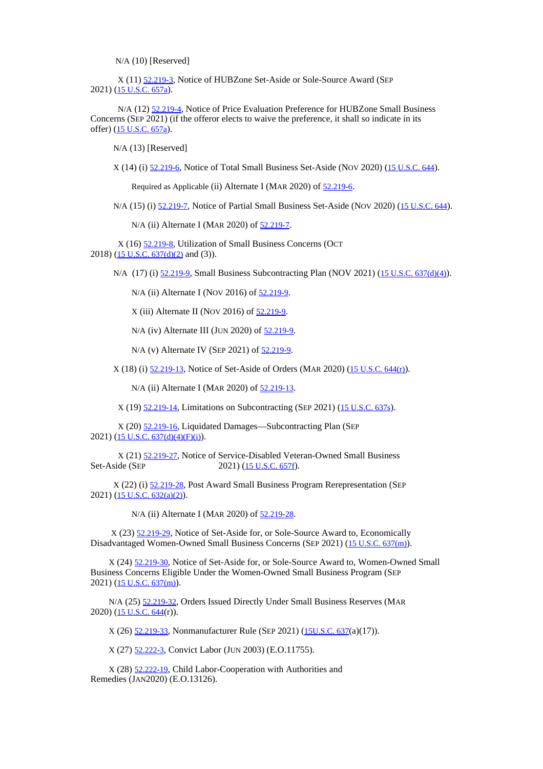N/A (10) [Reserved]

X (11) [52.219-3](https://www.acquisition.gov/far/52.219-3#FAR_52_219_3), Notice of HUBZone Set-Aside or Sole-Source Award (SEP 2021) (15 [U.S.C.](http://uscode.house.gov/view.xhtml?req=granuleid:USC-prelim-title15-section637a&num=0&edition=prelim) 657a).

N/A (12) [52.219-4](https://www.acquisition.gov/far/52.219-4#FAR_52_219_4), Notice of Price Evaluation Preference for HUBZone Small Business Concerns (SEP 2021) (if the offeror elects to waive the preference, it shall so indicate in its offer) (15 [U.S.C.](http://uscode.house.gov/browse.xhtml%3Bjsessionid%3D114A3287C7B3359E597506A31FC855B3) 657a).

N/A (13) [Reserved]

X (14) (i) [52.219-6](https://www.acquisition.gov/far/52.219-6#FAR_52_219_6), Notice of Total Small Business Set-Aside (NOV 2020) (15 [U.S.C.](http://uscode.house.gov/browse.xhtml%3Bjsessionid%3D114A3287C7B3359E597506A31FC855B3) 644).

Required as Applicable (ii) Alternate I (MAR 2020) of [52.219-6](https://www.acquisition.gov/far/52.219-6#FAR_52_219_6).

N/A (15) (i) [52.219-7](https://www.acquisition.gov/far/52.219-7#FAR_52_219_7), Notice of Partial Small Business Set-Aside (NOV 2020) (15 [U.S.C.](http://uscode.house.gov/browse.xhtml%3Bjsessionid%3D114A3287C7B3359E597506A31FC855B3) 644).

N/A (ii) Alternate I (MAR 2020) of [52.219-7](https://www.acquisition.gov/far/52.219-7#FAR_52_219_7).

X (16) [52.219-8](https://www.acquisition.gov/far/52.219-8#FAR_52_219_8), Utilization of Small Business Concerns (OCT 2018) (15 U.S.C. 637(d)(2) and (3)).

N/A (17) (i) [52.219-9](https://www.acquisition.gov/far/52.219-9#FAR_52_219_9), Small Business Subcontracting Plan (NOV 2021) (15 U.S.C. [637\(d\)\(4\)](http://uscode.house.gov/browse.xhtml%3Bjsessionid%3D114A3287C7B3359E597506A31FC855B3)).

N/A (ii) Alternate I (Nov 2016) of [52.219-9](https://www.acquisition.gov/far/52.219-9#FAR_52_219_9).

X (iii) Alternate II (NOV 2016) of [52.219-9](https://www.acquisition.gov/far/52.219-9#FAR_52_219_9).

N/A (iv) Alternate III (JUN 2020) of [52.219-9](https://www.acquisition.gov/far/52.219-9#FAR_52_219_9).

N/A (v) Alternate IV (SEP 2021) of [52.219-9](https://www.acquisition.gov/far/52.219-9#FAR_52_219_9).

X (18) (i) [52.219-13](https://www.acquisition.gov/far/52.219-13#FAR_52_219_13), Notice of Set-Aside of Orders (MAR 2020) (15 [U.S.C.](http://uscode.house.gov/browse.xhtml%3Bjsessionid%3D114A3287C7B3359E597506A31FC855B3) 644(r)).

N/A (ii) Alternate I (MAR 2020) of  $52.219-13$ .

X (19) [52.219-14](https://www.acquisition.gov/far/52.219-14#FAR_52_219_14), Limitations on Subcontracting (SEP 2021) (15 [U.S.C.](http://uscode.house.gov/browse.xhtml%3Bjsessionid%3D114A3287C7B3359E597506A31FC855B3) 637s).

X (20) [52.219-16](https://www.acquisition.gov/far/52.219-16#FAR_52_219_16), Liquidated Damages—Subcontracting Plan (SEP 2021) (15 U.S.C. [637\(d\)\(4\)\(F\)\(i\)](http://uscode.house.gov/browse.xhtml%3Bjsessionid%3D114A3287C7B3359E597506A31FC855B3)).

X (21) [52.219-27](https://www.acquisition.gov/far/52.219-27#FAR_52_219_27), Notice of Service-Disabled Veteran-Owned Small Business Set-Aside (SEP 2021) (15 [U.S.C.](http://uscode.house.gov/browse.xhtml%3Bjsessionid%3D114A3287C7B3359E597506A31FC855B3) 657f).

X (22) (i) [52.219-28](https://www.acquisition.gov/far/52.219-28#FAR_52_219_28), Post Award Small Business Program Rerepresentation (SEP 2021) (15 U.S.C. [632\(a\)\(2\)](http://uscode.house.gov/browse.xhtml%3Bjsessionid%3D114A3287C7B3359E597506A31FC855B3)).

N/A (ii) Alternate I (MAR 2020) of  $52.219-28$ .

X (23) [52.219-29](https://www.acquisition.gov/far/52.219-29#FAR_52_219_29), Notice of Set-Aside for, or Sole-Source Award to, Economically Disadvantaged Women-Owned Small Business Concerns (SEP 2021) (15 U.S.C. [637\(m\)](http://uscode.house.gov/browse.xhtml%3Bjsessionid%3D114A3287C7B3359E597506A31FC855B3)).

X (24) [52.219-30](https://www.acquisition.gov/far/52.219-30#FAR_52_219_30), Notice of Set-Aside for, or Sole-Source Award to, Women-Owned Small Business Concerns Eligible Under the Women-Owned Small Business Program (SEP 2021) (15 U.S.C. [637\(m\)](http://uscode.house.gov/browse.xhtml%3Bjsessionid%3D114A3287C7B3359E597506A31FC855B3)).

N/A (25) [52.219-32](https://www.acquisition.gov/far/52.219-32#FAR_52_219_32), Orders Issued Directly Under Small Business Reserves (MAR  $2020$ ) ( $15$  [U.S.C.](https://www.govinfo.gov/content/pkg/USCODE-2018-title15/html/USCODE-2018-title15-chap14A-sec644.htm) 644(r)).

X (26) [52.219-33](https://www.acquisition.gov/far/52.219-33#FAR_52_219_33), Nonmanufacturer Rule (SEP 2021) ([15U.S.C.](https://www.govinfo.gov/content/pkg/USCODE-2018-title15/html/USCODE-2018-title15-chap14A-sec637.htm) 637(a)(17)).

X (27) [52.222-3](https://www.acquisition.gov/far/52.222-3#FAR_52_222_3), Convict Labor (JUN 2003) (E.O.11755).

X (28) [52.222-19](https://www.acquisition.gov/far/52.222-19#FAR_52_222_19), Child Labor-Cooperation with Authorities and Remedies (JAN2020) (E.O.13126).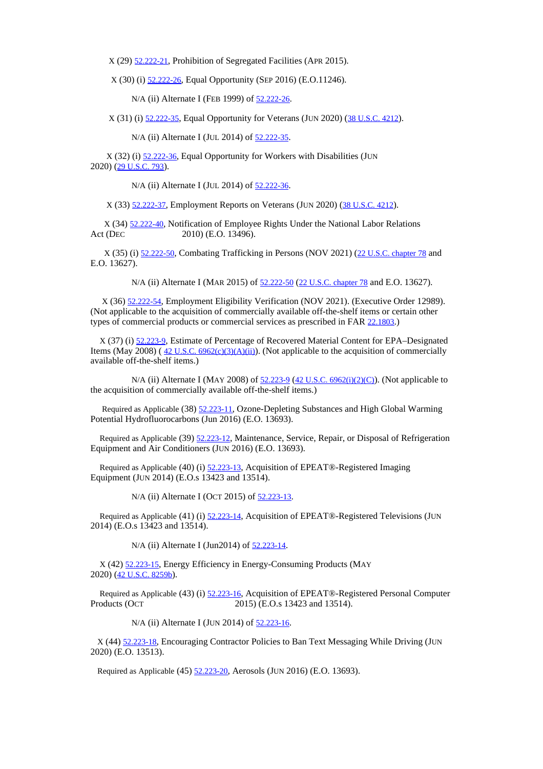X (29) [52.222-21](https://www.acquisition.gov/far/52.222-21#FAR_52_222_21), Prohibition of Segregated Facilities (APR 2015).

X (30) (i) [52.222-26](https://www.acquisition.gov/far/52.222-26#FAR_52_222_26), Equal Opportunity (SEP 2016) (E.O.11246).

N/A (ii) Alternate I (FEB 1999) of [52.222-26](https://www.acquisition.gov/far/52.222-26#FAR_52_222_26).

X (31) (i) [52.222-35](https://www.acquisition.gov/far/52.222-35#FAR_52_222_35), Equal Opportunity for Veterans (JUN 2020) (38 [U.S.C.](http://uscode.house.gov/view.xhtml?req=granuleid:USC-prelim-title38-section4212&num=0&edition=prelim) 4212).

N/A (ii) Alternate I (JUL 2014) of [52.222-35](https://www.acquisition.gov/far/52.222-35#FAR_52_222_35).

X (32) (i) [52.222-36](https://www.acquisition.gov/far/52.222-36#FAR_52_222_36), Equal Opportunity for Workers with Disabilities (JUN 2020) (29 [U.S.C.](http://uscode.house.gov/view.xhtml?req=granuleid:USC-prelim-title29-section793&num=0&edition=prelim) 793).

N/A (ii) Alternate I (JUL 2014) of [52.222-36](https://www.acquisition.gov/far/52.222-36#FAR_52_222_36).

X (33) [52.222-37](https://www.acquisition.gov/far/52.222-37#FAR_52_222_37), Employment Reports on Veterans (JUN 2020) (38 [U.S.C.](http://uscode.house.gov/view.xhtml?req=granuleid:USC-prelim-title38-section4212&num=0&edition=prelim) 4212).

X (34) [52.222-40](https://www.acquisition.gov/far/52.222-40#FAR_52_222_40), Notification of Employee Rights Under the National Labor Relations 2010) (E.O. 13496).

X (35) (i) [52.222-50](https://www.acquisition.gov/far/52.222-50#FAR_52_222_50), Combating Trafficking in Persons (NOV 2021) (22 U.S.C. [chapter](http://uscode.house.gov/browse.xhtml%3Bjsessionid%3D114A3287C7B3359E597506A31FC855B3) 78 and E.O. 13627).

N/A (ii) Alternate I (MAR 2015) of  $52.222 - 50$  (22 U.S.C. [chapter](http://uscode.house.gov/browse.xhtml%3Bjsessionid%3D114A3287C7B3359E597506A31FC855B3) 78 and E.O. 13627).

X (36) [52.222-54](https://www.acquisition.gov/far/52.222-54#FAR_52_222_54), Employment Eligibility Verification (NOV 2021). (Executive Order 12989). (Not applicable to the acquisition of commercially available off-the-shelf items or certain other types of commercial products or commercial services as prescribed in FAR [22.1803](https://www.acquisition.gov/far/22.1803#FAR_22_1803).)

X (37) (i) [52.223-9](https://www.acquisition.gov/far/52.223-9#FAR_52_223_9), Estimate of Percentage of Recovered Material Content for EPA–Designated Items (May 2008) ( $42 \text{ U.S.C. } 6962 \text{ (c)}(3)(\text{A})(\text{ii})$ ). (Not applicable to the acquisition of commercially available off-the-shelf items.)

N/A (ii) Alternate I (MAY 2008) of  $52.223-9$  (42 U.S.C. [6962\(i\)\(2\)\(C\)](http://uscode.house.gov/browse.xhtml%3Bjsessionid%3D114A3287C7B3359E597506A31FC855B3)). (Not applicable to the acquisition of commercially available off-the-shelf items.)

Required as Applicable (38) [52.223-11](https://www.acquisition.gov/far/52.223-11#FAR_52_223_11), Ozone-Depleting Substances and High Global Warming Potential Hydrofluorocarbons (Jun 2016) (E.O. 13693).

Required as Applicable (39) [52.223-12](https://www.acquisition.gov/far/52.223-12#FAR_52_223_12), Maintenance, Service, Repair, or Disposal of Refrigeration Equipment and Air Conditioners (JUN 2016) (E.O. 13693).

Required as Applicable (40) (i) [52.223-13](https://www.acquisition.gov/far/52.223-13#FAR_52_223_13), Acquisition of EPEAT®-Registered Imaging Equipment (JUN 2014) (E.O.s 13423 and 13514).

N/A (ii) Alternate I (OCT 2015) of [52.223-13](https://www.acquisition.gov/far/52.223-13#FAR_52_223_13).

Required as Applicable (41) (i)  $\frac{52.223-14}{2}$  $\frac{52.223-14}{2}$  $\frac{52.223-14}{2}$ , Acquisition of EPEAT®-Registered Televisions (JUN 2014) (E.O.s 13423 and 13514).

N/A (ii) Alternate I (Jun2014) of [52.223-14](https://www.acquisition.gov/far/52.223-14#FAR_52_223_14).

X (42) [52.223-15](https://www.acquisition.gov/far/52.223-15#FAR_52_223_15), Energy Efficiency in Energy-Consuming Products (MAY 2020) (42 [U.S.C.](http://uscode.house.gov/browse.xhtml%3Bjsessionid%3D114A3287C7B3359E597506A31FC855B3) 8259b).

Required as Applicable (43) (i)  $\frac{52.223 \cdot 16}{2015}$ , Acquisition of EPEAT®-Registered Personal Computer Products (OCT 2015) (E.O.s 13423 and 13514). 2015) (E.O.s 13423 and 13514).

N/A (ii) Alternate I (JUN 2014) of [52.223-16](https://www.acquisition.gov/far/52.223-16#FAR_52_223_16).

X (44) [52.223-18](https://www.acquisition.gov/far/52.223-18#FAR_52_223_18), Encouraging Contractor Policies to Ban Text Messaging While Driving (JUN 2020) (E.O. 13513).

Required as Applicable (45) [52.223-20](https://www.acquisition.gov/far/52.223-20#FAR_52_223_20), Aerosols (JUN 2016) (E.O. 13693).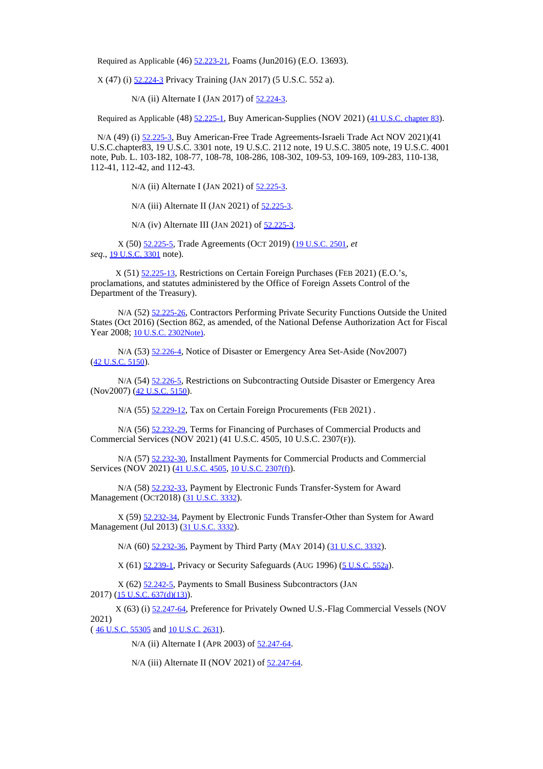Required as Applicable (46) [52.223-21](https://www.acquisition.gov/far/52.223-21#FAR_52_223_21), Foams (Jun2016) (E.O. 13693).

X (47) (i) [52.224-3](https://www.acquisition.gov/far/52.224-3#FAR_52_224_3) Privacy Training (JAN 2017) (5 U.S.C. 552 a).

N/A (ii) Alternate I (JAN 2017) of [52.224-3](https://www.acquisition.gov/far/52.224-3#FAR_52_224_3).

Required as Applicable (48) [52.225-1](https://www.acquisition.gov/far/52.225-1#FAR_52_225_1), Buy American-Supplies (NOV 2021) (41 U.S.C. [chapter](http://uscode.house.gov/browse.xhtml%3Bjsessionid%3D114A3287C7B3359E597506A31FC855B3) 83).

N/A (49) (i) [52.225-3](https://www.acquisition.gov/far/52.225-3#FAR_52_225_3), Buy American-Free Trade Agreements-Israeli Trade Act NOV 2021)(41 U.S.C.chapter83, 19 U.S.C. 3301 note, 19 U.S.C. 2112 note, 19 U.S.C. 3805 note, 19 U.S.C. 4001 note, Pub. L. 103-182, 108-77, 108-78, 108-286, 108-302, 109-53, 109-169, 109-283, 110-138, 112-41, 112-42, and 112-43.

N/A (ii) Alternate I (JAN 2021) of [52.225-3](https://www.acquisition.gov/far/52.225-3#FAR_52_225_3).

N/A (iii) Alternate II (JAN 2021) of [52.225-3](https://www.acquisition.gov/far/52.225-3#FAR_52_225_3).

N/A (iv) Alternate III (JAN 2021) of  $52.225-3$ .

X (50) [52.225-5](https://www.acquisition.gov/far/52.225-5#FAR_52_225_5), Trade Agreements (OCT 2019) (19 [U.S.C.](http://uscode.house.gov/view.xhtml?req=granuleid:USC-prelim-title19-section2501&num=0&edition=prelim) 2501, *et seq*., 19 U.S.C. 3301 note).

X (51) [52.225-13](https://www.acquisition.gov/far/52.225-13#FAR_52_225_13), Restrictions on Certain Foreign Purchases (FEB 2021) (E.O.'s, proclamations, and statutes administered by the Office of Foreign Assets Control of the Department of the Treasury).

N/A (52) [52.225-26](https://www.acquisition.gov/far/52.225-26#FAR_52_225_26), Contractors Performing Private Security Functions Outside the United States (Oct 2016) (Section 862, as amended, of the National Defense Authorization Act for Fiscal Year 2008; 10 U.S.C. [2302Note\)](http://uscode.house.gov/browse.xhtml%3Bjsessionid%3D114A3287C7B3359E597506A31FC855B3).

N/A (53) [52.226-4](https://www.acquisition.gov/far/52.226-4#FAR_52_226_4), Notice of Disaster or Emergency Area Set-Aside (Nov2007) (42 [U.S.C.](http://uscode.house.gov/browse.xhtml%3Bjsessionid%3D114A3287C7B3359E597506A31FC855B3) 5150).

N/A (54) [52.226-5](https://www.acquisition.gov/far/52.226-5#FAR_52_226_5), Restrictions on Subcontracting Outside Disaster or Emergency Area (Nov2007) (42 [U.S.C.](http://uscode.house.gov/browse.xhtml%3Bjsessionid%3D114A3287C7B3359E597506A31FC855B3) 5150).

N/A (55) [52.229-12](https://www.acquisition.gov/far/52.229-12#FAR_52_229_12), Tax on Certain Foreign Procurements (FEB 2021).

N/A (56) [52.232-29](https://www.acquisition.gov/far/52.232-29#FAR_52_232_29), Terms for Financing of Purchases of Commercial Products and Commercial Services (NOV 2021) (41 U.S.C. 4505, 10 U.S.C. 2307(F)).

N/A (57) [52.232-30](https://www.acquisition.gov/far/52.232-30#FAR_52_232_30), Installment Payments for Commercial Products and Commercial Services (NOV 2021) (41 [U.S.C.](http://uscode.house.gov/browse.xhtml%3Bjsessionid%3D114A3287C7B3359E597506A31FC855B3) 4505, 10 U.S.C. [2307\(f\)](http://uscode.house.gov/browse.xhtml%3Bjsessionid%3D114A3287C7B3359E597506A31FC855B3)).

N/A (58) [52.232-33](https://www.acquisition.gov/far/52.232-33#FAR_52_232_33), Payment by Electronic Funds Transfer-System for Award Management (OCT2018) (31 [U.S.C.](http://uscode.house.gov/view.xhtml?req=granuleid:USC-prelim-title31-section3332&num=0&edition=prelim) 3332).

X (59) [52.232-34](https://www.acquisition.gov/far/52.232-34#FAR_52_232_34), Payment by Electronic Funds Transfer-Other than System for Award Management (Jul 2013) (31 [U.S.C.](http://uscode.house.gov/browse.xhtml%3Bjsessionid%3D114A3287C7B3359E597506A31FC855B3) 3332).

N/A (60) [52.232-36](https://www.acquisition.gov/far/52.232-36#FAR_52_232_36), Payment by Third Party (MAY 2014) (31 [U.S.C.](http://uscode.house.gov/browse.xhtml%3Bjsessionid%3D114A3287C7B3359E597506A31FC855B3) 3332).

X (61) [52.239-1](https://www.acquisition.gov/far/52.239-1#FAR_52_239_1), Privacy or Security Safeguards (AUG 1996) (5 [U.S.C.](http://uscode.house.gov/view.xhtml?req=granuleid:USC-prelim-title5-section552a&num=0&edition=prelim) 552a).

X (62) [52.242-5](https://www.acquisition.gov/far/52.242-5#FAR_52_242_5), Payments to Small Business Subcontractors (JAN 2017) (15 U.S.C. [637\(d\)\(13\)](http://uscode.house.gov/browse.xhtml%3Bjsessionid%3D114A3287C7B3359E597506A31FC855B3)).

X (63) (i) [52.247-64](https://www.acquisition.gov/far/52.247-64#FAR_52_247_64), Preference for Privately Owned U.S.-Flag Commercial Vessels (NOV 2021)

( 46 [U.S.C.](https://www.govinfo.gov/content/pkg/USCODE-2019-title46/html/USCODE-2019-title46-subtitleV-partD-chap553-subchapI-sec55305.htm) 55305 and 10 [U.S.C.](http://uscode.house.gov/browse.xhtml%3Bjsessionid%3D114A3287C7B3359E597506A31FC855B3) 2631).

N/A (ii) Alternate I (APR 2003) of [52.247-64](https://www.acquisition.gov/far/52.247-64#FAR_52_247_64).

N/A (iii) Alternate II (NOV 2021) of [52.247-64](https://www.acquisition.gov/far/52.247-64#FAR_52_247_64).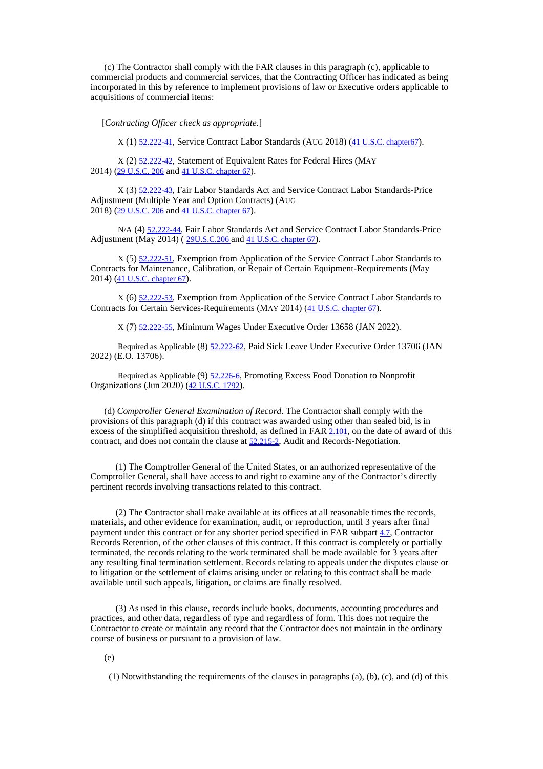(c) The Contractor shall comply with the FAR clauses in this paragraph (c), applicable to commercial products and commercial services, that the Contracting Officer has indicated as being incorporated in this by reference to implement provisions of law or Executive orders applicable to acquisitions of commercial items:

[*Contracting Officer check as appropriate.*]

X (1) [52.222-41](https://www.acquisition.gov/far/52.222-41#FAR_52_222_41), Service Contract Labor Standards (AUG 2018) (41 U.S.C. [chapter67](http://uscode.house.gov/browse.xhtml%3Bjsessionid%3D114A3287C7B3359E597506A31FC855B3)).

X (2) [52.222-42](https://www.acquisition.gov/far/52.222-42#FAR_52_222_42), Statement of Equivalent Rates for Federal Hires (MAY 2014) (29 [U.S.C.](http://uscode.house.gov/browse.xhtml%3Bjsessionid%3D114A3287C7B3359E597506A31FC855B3) 206 and 41 U.S.C. [chapter](http://uscode.house.gov/browse.xhtml%3Bjsessionid%3D114A3287C7B3359E597506A31FC855B3) 67).

X (3) [52.222-43](https://www.acquisition.gov/far/52.222-43#FAR_52_222_43), Fair Labor Standards Act and Service Contract Labor Standards-Price Adjustment (Multiple Year and Option Contracts) (AUG 2018) (29 [U.S.C.](http://uscode.house.gov/browse.xhtml%3Bjsessionid%3D114A3287C7B3359E597506A31FC855B3) 206 and 41 U.S.C. [chapter](http://uscode.house.gov/browse.xhtml%3Bjsessionid%3D114A3287C7B3359E597506A31FC855B3) 67).

N/A (4) [52.222-44](https://www.acquisition.gov/far/52.222-44#FAR_52_222_44), Fair Labor Standards Act and Service Contract Labor Standards-Price Adjustment (May 2014) ([29U.S.C.206](http://uscode.house.gov/browse.xhtml%3Bjsessionid%3D114A3287C7B3359E597506A31FC855B3) and 41 U.S.C. [chapter](http://uscode.house.gov/browse.xhtml%3Bjsessionid%3D114A3287C7B3359E597506A31FC855B3) 67).

X (5) [52.222-51](https://www.acquisition.gov/far/52.222-51#FAR_52_222_51), Exemption from Application of the Service Contract Labor Standards to Contracts for Maintenance, Calibration, or Repair of Certain Equipment-Requirements (May 2014) (41 U.S.C. [chapter](http://uscode.house.gov/browse.xhtml%3Bjsessionid%3D114A3287C7B3359E597506A31FC855B3) 67).

X (6) [52.222-53](https://www.acquisition.gov/far/52.222-53#FAR_52_222_53), Exemption from Application of the Service Contract Labor Standards to Contracts for Certain Services-Requirements (MAY 2014) (41 U.S.C. [chapter](http://uscode.house.gov/browse.xhtml%3Bjsessionid%3D114A3287C7B3359E597506A31FC855B3) 67).

X (7) [52.222-55](https://www.acquisition.gov/far/52.222-55#FAR_52_222_55), Minimum Wages Under Executive Order 13658 (JAN 2022).

Required as Applicable (8) [52.222-62](https://www.acquisition.gov/far/52.222-62#FAR_52_222_62), Paid Sick Leave Under Executive Order 13706 (JAN 2022) (E.O. 13706).

Required as Applicable (9) [52.226-6](https://www.acquisition.gov/far/52.226-6#FAR_52_226_6), Promoting Excess Food Donation to Nonprofit Organizations (Jun 2020) (42 [U.S.C.](http://uscode.house.gov/browse.xhtml%3Bjsessionid%3D114A3287C7B3359E597506A31FC855B3) 1792).

(d) *Comptroller General Examination of Record*. The Contractor shall comply with the provisions of this paragraph (d) if this contract was awarded using other than sealed bid, is in excess of the simplified acquisition threshold, as defined in FAR [2.101](https://www.acquisition.gov/far/2.101#FAR_2_101), on the date of award of this contract, and does not contain the clause at [52.215-2](https://www.acquisition.gov/far/52.215-2#FAR_52_215_2), Audit and Records-Negotiation.

(1) The Comptroller General of the United States, or an authorized representative of the Comptroller General, shall have access to and right to examine any of the Contractor's directly pertinent records involving transactions related to this contract.

(2) The Contractor shall make available at its offices at all reasonable times the records, materials, and other evidence for examination, audit, or reproduction, until 3 years after final payment under this contract or for any shorter period specified in FAR subpart [4.7](https://www.acquisition.gov/far/subpart-4.7#FAR_Subpart_4_7), Contractor Records Retention, of the other clauses of this contract. If this contract is completely or partially terminated, the records relating to the work terminated shall be made available for 3 years after any resulting final termination settlement. Records relating to appeals under the disputes clause or to litigation or the settlement of claims arising under or relating to this contract shall be made available until such appeals, litigation, or claims are finally resolved.

(3) As used in this clause, records include books, documents, accounting procedures and practices, and other data, regardless of type and regardless of form. This does not require the Contractor to create or maintain any record that the Contractor does not maintain in the ordinary course of business or pursuant to a provision of law.

(e)

(1) Notwithstanding the requirements of the clauses in paragraphs (a), (b), (c), and (d) of this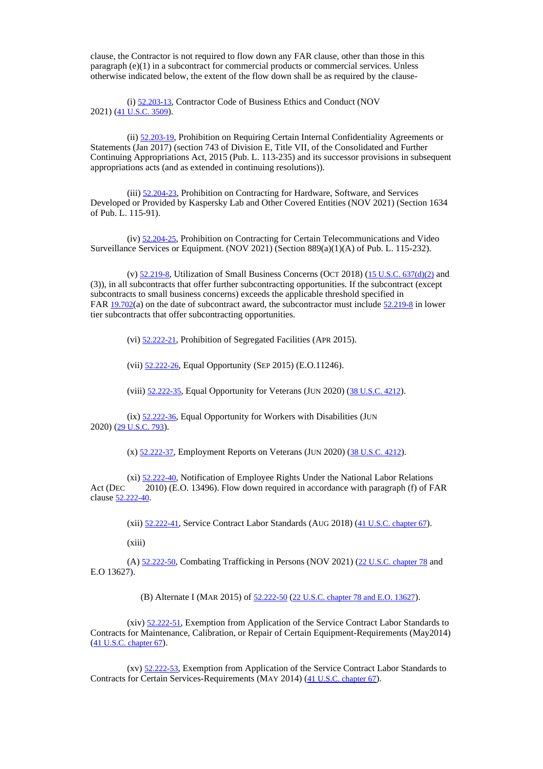clause, the Contractor is not required to flow down any FAR clause, other than those in this paragraph (e)(1) in a subcontract for commercial products or commercial services. Unless otherwise indicated below, the extent of the flow down shall be as required by the clause-

(i) [52.203-13](https://www.acquisition.gov/far/52.203-13#FAR_52_203_13), Contractor Code of Business Ethics and Conduct (NOV 2021) (41 [U.S.C.](http://uscode.house.gov/browse.xhtml%3Bjsessionid%3D114A3287C7B3359E597506A31FC855B3) 3509).

(ii) [52.203-19](https://www.acquisition.gov/far/52.203-19#FAR_52_203_19), Prohibition on Requiring Certain Internal Confidentiality Agreements or Statements (Jan 2017) (section 743 of Division E, Title VII, of the Consolidated and Further Continuing Appropriations Act, 2015 (Pub. L. 113-235) and its successor provisions in subsequent appropriations acts (and as extended in continuing resolutions)).

(iii) [52.204-23](https://www.acquisition.gov/far/52.204-23#FAR_52_204_23), Prohibition on Contracting for Hardware, Software, and Services Developed or Provided by Kaspersky Lab and Other Covered Entities (NOV 2021) (Section 1634 of Pub. L. 115-91).

(iv) [52.204-25](https://www.acquisition.gov/far/52.204-25#FAR_52_204_25), Prohibition on Contracting for Certain Telecommunications and Video Surveillance Services or Equipment. (NOV 2021) (Section 889(a)(1)(A) of Pub. L. 115-232).

(v)  $52.219-8$ , Utilization of Small Business Concerns (OCT 2018) (15 U.S.C. [637\(d\)\(2\)](http://uscode.house.gov/view.xhtml?req=granuleid:USC-prelim-title15-section637&num=0&edition=prelim) and (3)), in all subcontracts that offer further subcontracting opportunities. If the subcontract (except subcontracts to small business concerns) exceeds the applicable threshold specified in FAR 19.702(a) on the date of subcontract award, the subcontractor must include [52.219-8](https://www.acquisition.gov/far/52.219-8#FAR_52_219_8) in [lower](https://www.acquisition.gov/far/19.702#FAR_19_702) tier subcontracts that offer subcontracting opportunities.

(vi) [52.222-21](https://www.acquisition.gov/far/52.222-21#FAR_52_222_21), Prohibition of Segregated Facilities (APR 2015).

(vii) [52.222-26](https://www.acquisition.gov/far/52.222-26#FAR_52_222_26), Equal Opportunity (SEP 2015) (E.O.11246).

(viii) [52.222-35](https://www.acquisition.gov/far/52.222-35#FAR_52_222_35), Equal Opportunity for Veterans (JUN 2020) (38 [U.S.C.](http://uscode.house.gov/browse.xhtml%3Bjsessionid%3D114A3287C7B3359E597506A31FC855B3) 4212).

 $(ix)$  [52.222-36](https://www.acquisition.gov/far/52.222-36#FAR_52_222_36), Equal Opportunity for Workers with Disabilities (JUN 2020) (29 [U.S.C.](http://uscode.house.gov/browse.xhtml%3Bjsessionid%3D114A3287C7B3359E597506A31FC855B3) 793).

(x) [52.222-37](https://www.acquisition.gov/far/52.222-37#FAR_52_222_37), Employment Reports on Veterans (JUN 2020) (38 [U.S.C.](http://uscode.house.gov/browse.xhtml%3Bjsessionid%3D114A3287C7B3359E597506A31FC855B3) 4212).

(xi) [52.222-40](https://www.acquisition.gov/far/52.222-40#FAR_52_222_40), Notification of Employee Rights Under the National Labor Relations Act (DEC 2010) (E.O. 13496). Flow down required in accordance with paragraph (f) of FAR clause [52.222-40](https://www.acquisition.gov/far/52.222-40#FAR_52_222_40).

(xii) [52.222-41](https://www.acquisition.gov/far/52.222-41#FAR_52_222_41), Service Contract Labor Standards (AUG 2018) (41 U.S.C. [chapter](http://uscode.house.gov/view.xhtml?req=granuleid:USC-prelim-title41-chapter67-front&num=0&edition=prelim) 67).

(xiii)

(A) [52.222-50](https://www.acquisition.gov/far/52.222-50#FAR_52_222_50), Combating Trafficking in Persons (NOV 2021) (22 U.S.C. [chapter](http://uscode.house.gov/browse.xhtml%3Bjsessionid%3D114A3287C7B3359E597506A31FC855B3) 78 and E.O 13627).

(B) Alternate I (MAR 2015) of [52.222-50](https://www.acquisition.gov/far/52.222-50#FAR_52_222_50) (22 U.S.C. [chapter](http://uscode.house.gov/browse.xhtml%3Bjsessionid%3D114A3287C7B3359E597506A31FC855B3) 78 and E.O. 13627).

(xiv) [52.222-51](https://www.acquisition.gov/far/52.222-51#FAR_52_222_51), Exemption from Application of the Service Contract Labor Standards to Contracts for Maintenance, Calibration, or Repair of Certain Equipment-Requirements (May2014) (41 U.S.C. [chapter](http://uscode.house.gov/browse.xhtml%3Bjsessionid%3D114A3287C7B3359E597506A31FC855B3) 67).

(xv) [52.222-53](https://www.acquisition.gov/far/52.222-53#FAR_52_222_53), Exemption from Application of the Service Contract Labor Standards to Contracts for Certain Services-Requirements (MAY 2014) (41 U.S.C. [chapter](http://uscode.house.gov/browse.xhtml%3Bjsessionid%3D114A3287C7B3359E597506A31FC855B3) 67).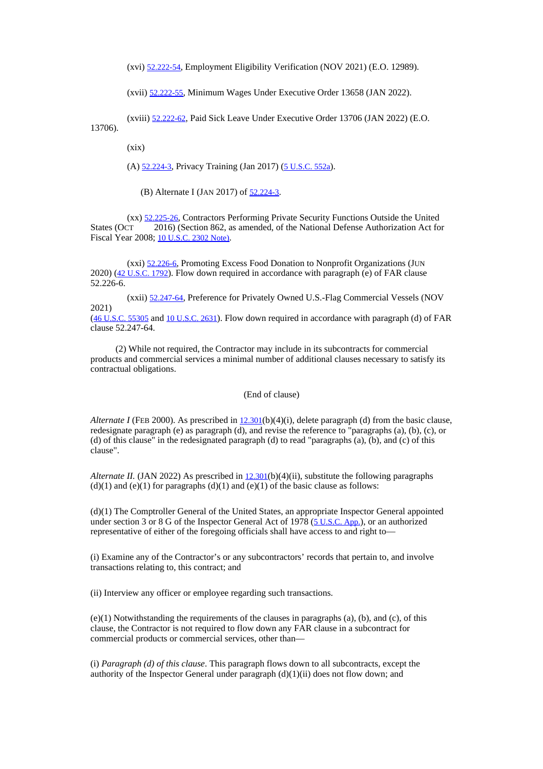(xvi) [52.222-54](https://www.acquisition.gov/far/52.222-54#FAR_52_222_54), Employment Eligibility Verification (NOV 2021) (E.O. 12989).

(xvii) [52.222-55](https://www.acquisition.gov/far/52.222-55#FAR_52_222_55), Minimum Wages Under Executive Order 13658 (JAN 2022).

(xviii) [52.222-62](https://www.acquisition.gov/far/52.222-62#FAR_52_222_62), Paid Sick Leave Under Executive Order 13706 (JAN 2022) (E.O. 13706).

 $(xix)$ 

(A) [52.224-3](https://www.acquisition.gov/far/52.224-3#FAR_52_224_3), Privacy Training (Jan 2017) (5 [U.S.C.](http://uscode.house.gov/browse.xhtml%3Bjsessionid%3D114A3287C7B3359E597506A31FC855B3) 552a).

(B) Alternate I (JAN 2017) of  $52.224-3$ .

(xx) [52.225-26](https://www.acquisition.gov/far/52.225-26#FAR_52_225_26), Contractors Performing Private Security Functions Outside the United States (OCT 2016) (Section 862, as amended, of the National Defense Authorization Act for Fiscal Year 2008; 10 [U.S.C.](http://uscode.house.gov/browse.xhtml%3Bjsessionid%3D114A3287C7B3359E597506A31FC855B3) 2302 Note).

(xxi) [52.226-6](https://www.acquisition.gov/far/52.226-6#FAR_52_226_6), Promoting Excess Food Donation to Nonprofit Organizations (JUN 2020) (42 [U.S.C.](http://uscode.house.gov/browse.xhtml%3Bjsessionid%3D114A3287C7B3359E597506A31FC855B3) 1792). Flow down required in accordance with paragraph (e) of FAR clause 52.226-6.

(xxii) [52.247-64](https://www.acquisition.gov/far/52.247-64#FAR_52_247_64), Preference for Privately Owned U.S.-Flag Commercial Vessels (NOV 2021)

(46 [U.S.C.](https://www.govinfo.gov/content/pkg/USCODE-2019-title46/html/USCODE-2019-title46-subtitleV-partD-chap553-subchapI-sec55305.htm) 55305 and 10 [U.S.C.](http://uscode.house.gov/browse.xhtml%3Bjsessionid%3D114A3287C7B3359E597506A31FC855B3) 2631). Flow down required in accordance with paragraph (d) of FAR clause 52.247-64.

(2) While not required, the Contractor may include in its subcontracts for commercial products and commercial services a minimal number of additional clauses necessary to satisfy its contractual obligations.

(End of clause)

*Alternate I* (FEB 2000). As prescribed in [12.301](https://www.acquisition.gov/far/12.301#FAR_12_301)(b)(4)(i), delete paragraph (d) from the basic clause, redesignate paragraph (e) as paragraph (d), and revise the reference to "paragraphs (a), (b), (c), or (d) of this clause" in the redesignated paragraph (d) to read "paragraphs (a), (b), and (c) of this clause".

*Alternate II.* (JAN 2022) As prescribed in  $12.301(b)(4)$  $12.301(b)(4)$  (ii), substitute the following paragraphs  $(d)(1)$  and  $(e)(1)$  for paragraphs  $(d)(1)$  and  $(e)(1)$  of the basic clause as follows:

(d)(1) The Comptroller General of the United States, an appropriate Inspector General appointed under section 3 or 8 G of the Inspector General Act of  $1978$  ( $5$  [U.S.C.](http://uscode.house.gov/browse.xhtml%3Bjsessionid%3D114A3287C7B3359E597506A31FC855B3) App.), or an authorized representative of either of the foregoing officials shall have access to and right to—

(i) Examine any of the Contractor's or any subcontractors' records that pertain to, and involve transactions relating to, this contract; and

(ii) Interview any officer or employee regarding such transactions.

(e)(1) Notwithstanding the requirements of the clauses in paragraphs (a), (b), and (c), of this clause, the Contractor is not required to flow down any FAR clause in a subcontract for commercial products or commercial services, other than—

(i) *Paragraph (d) of this clause*. This paragraph flows down to all subcontracts, except the authority of the Inspector General under paragraph (d)(1)(ii) does not flow down; and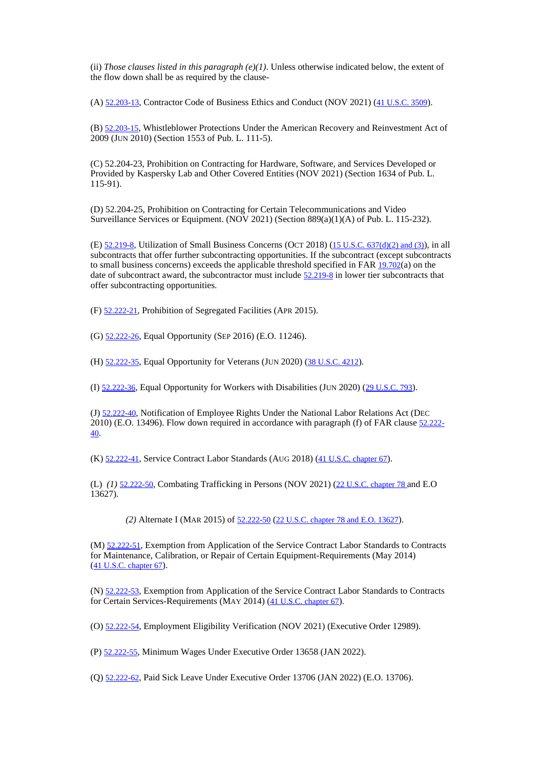(ii) *Those clauses listed in this paragraph*  $(e)(1)$ . Unless otherwise indicated below, the extent of the flow down shall be as required by the clause-

(A) [52.203-13](https://www.acquisition.gov/far/52.203-13#FAR_52_203_13), Contractor Code of Business Ethics and Conduct (NOV 2021) (41 [U.S.C.](http://uscode.house.gov/browse.xhtml%3Bjsessionid%3D114A3287C7B3359E597506A31FC855B3) 3509).

(B) [52.203-15](https://www.acquisition.gov/far/52.203-15#FAR_52_203_15), Whistleblower Protections Under the American Recovery and Reinvestment Act of 2009 (JUN 2010) (Section 1553 of Pub. L. 111-5).

(C) 52.204-23, Prohibition on Contracting for Hardware, Software, and Services Developed or Provided by Kaspersky Lab and Other Covered Entities (NOV 2021) (Section 1634 of Pub. L. 115-91).

(D) 52.204-25, Prohibition on Contracting for Certain Telecommunications and Video Surveillance Services or Equipment. (NOV 2021) (Section 889(a)(1)(A) of Pub. L. 115-232).

(E)  $52.219-8$ , Utilization of Small Business Concerns (OCT 2018) (15 U.S.C. [637\(d\)\(2\)](http://uscode.house.gov/view.xhtml?req=granuleid:USC-prelim-title15-section637&num=0&edition=prelim) and (3)), in all subcontracts that offer further subcontracting opportunities. If the subcontract (except subcontracts to small business concerns) exceeds the applicable threshold specified in FAR  $19.702(a)$  $19.702(a)$  on the date of subcontract award, the subcontractor must include [52.219-8](https://www.acquisition.gov/far/52.219-8#FAR_52_219_8) in lower tier subcontracts that offer subcontracting opportunities.

(F) [52.222-21](https://www.acquisition.gov/far/52.222-21#FAR_52_222_21), Prohibition of Segregated Facilities (APR 2015).

(G) [52.222-26](https://www.acquisition.gov/far/52.222-26#FAR_52_222_26), Equal Opportunity (SEP 2016) (E.O. 11246).

(H) [52.222-35](https://www.acquisition.gov/far/52.222-35#FAR_52_222_35), Equal Opportunity for Veterans (JUN 2020) (38 [U.S.C.](http://uscode.house.gov/browse.xhtml%3Bjsessionid%3D114A3287C7B3359E597506A31FC855B3) 4212).

(I) [52.222-36](https://www.acquisition.gov/far/52.222-36#FAR_52_222_36), Equal Opportunity for Workers with Disabilities (JUN 2020) (29 [U.S.C.](http://uscode.house.gov/browse.xhtml%3Bjsessionid%3D114A3287C7B3359E597506A31FC855B3) 793).

(J) [52.222-40](https://www.acquisition.gov/far/52.222-40#FAR_52_222_40), Notification of Employee Rights Under the National Labor Relations Act (DEC 2010) (E.O. 13496). Flow down required in accordance with paragraph (f) of FA[R clause](https://www.acquisition.gov/far/52.222-40#FAR_52_222_40) 52.222-[40](https://www.acquisition.gov/far/52.222-40#FAR_52_222_40).

(K) [52.222-41](https://www.acquisition.gov/far/52.222-41#FAR_52_222_41), Service Contract Labor Standards (AUG 2018) (41 U.S.C. [chapter](http://uscode.house.gov/view.xhtml?req=granuleid:USC-prelim-title41-chapter67-front&num=0&edition=prelim) 67).

(L) (1) [52.222-50](https://www.acquisition.gov/far/52.222-50#FAR_52_222_50), Combating Trafficking in Persons (NOV 2021) (22 U.S.C. [chapter](http://uscode.house.gov/browse.xhtml%3Bjsessionid%3D114A3287C7B3359E597506A31FC855B3) 78 and E.O 13627).

*(2)* Alternate I (MAR 2015) of [52.222-50](https://www.acquisition.gov/far/52.222-50#FAR_52_222_50) (22 U.S.C. [chapter](http://uscode.house.gov/browse.xhtml%3Bjsessionid%3D114A3287C7B3359E597506A31FC855B3) 78 and E.O. 13627).

(M) [52.222-51](https://www.acquisition.gov/far/52.222-51#FAR_52_222_51), Exemption from Application of the Service Contract Labor Standards to Contracts for Maintenance, Calibration, or Repair of Certain Equipment-Requirements (May 2014) (41 U.S.C. [chapter](http://uscode.house.gov/view.xhtml?req=granuleid:USC-prelim-title41-chapter67-front&num=0&edition=prelim) 67).

(N) [52.222-53](https://www.acquisition.gov/far/52.222-53#FAR_52_222_53), Exemption from Application of the Service Contract Labor Standards to Contracts for Certain Services-Requirements (MAY 2014) (41 U.S.C. [chapter](http://uscode.house.gov/view.xhtml?req=granuleid:USC-prelim-title41-chapter67-front&num=0&edition=prelim) 67).

(O) [52.222-54](https://www.acquisition.gov/far/52.222-54#FAR_52_222_54), Employment Eligibility Verification (NOV 2021) (Executive Order 12989).

(P) [52.222-55](https://www.acquisition.gov/far/52.222-55#FAR_52_222_55), Minimum Wages Under Executive Order 13658 (JAN 2022).

(Q) [52.222-62](https://www.acquisition.gov/far/52.222-62#FAR_52_222_62), Paid Sick Leave Under Executive Order 13706 (JAN 2022) (E.O. 13706).